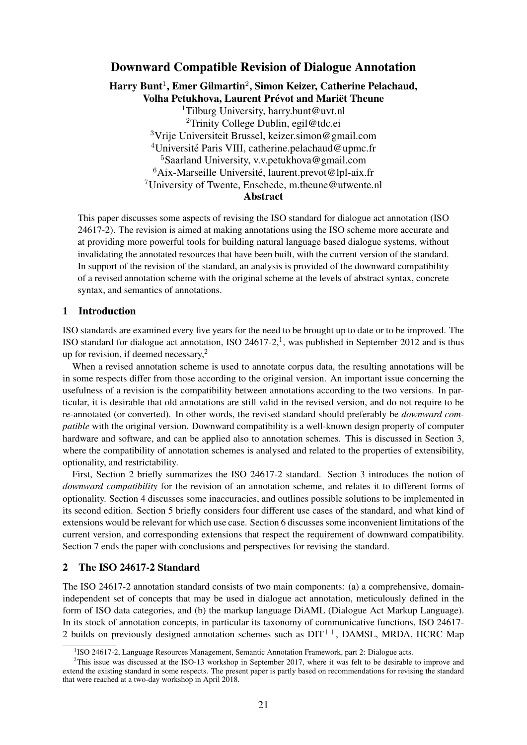## Downward Compatible Revision of Dialogue Annotation

Harry Bunt $^1$ , Emer Gilmartin $^2$ , Simon Keizer, Catherine Pelachaud, Volha Petukhova, Laurent Prévot and Mariët Theune

Tilburg University, harry.bunt@uvt.nl Trinity College Dublin, egil@tdc.ei Vrije Universiteit Brussel, keizer.simon@gmail.com <sup>4</sup>Université Paris VIII, catherine.pelachaud@upmc.fr Saarland University, v.v.petukhova@gmail.com Aix-Marseille Université, laurent.prevot@lpl-aix.fr University of Twente, Enschede, m.theune@utwente.nl Abstract

This paper discusses some aspects of revising the ISO standard for dialogue act annotation (ISO 24617-2). The revision is aimed at making annotations using the ISO scheme more accurate and at providing more powerful tools for building natural language based dialogue systems, without invalidating the annotated resources that have been built, with the current version of the standard. In support of the revision of the standard, an analysis is provided of the downward compatibility of a revised annotation scheme with the original scheme at the levels of abstract syntax, concrete syntax, and semantics of annotations.

## 1 Introduction

ISO standards are examined every five years for the need to be brought up to date or to be improved. The ISO standard for dialogue act annotation, ISO 24617-2,<sup>1</sup>, was published in September 2012 and is thus up for revision, if deemed necessary, $2$ 

When a revised annotation scheme is used to annotate corpus data, the resulting annotations will be in some respects differ from those according to the original version. An important issue concerning the usefulness of a revision is the compatibility between annotations according to the two versions. In particular, it is desirable that old annotations are still valid in the revised version, and do not require to be re-annotated (or converted). In other words, the revised standard should preferably be *downward compatible* with the original version. Downward compatibility is a well-known design property of computer hardware and software, and can be applied also to annotation schemes. This is discussed in Section 3, where the compatibility of annotation schemes is analysed and related to the properties of extensibility, optionality, and restrictability.

First, Section 2 briefly summarizes the ISO 24617-2 standard. Section 3 introduces the notion of *downward compatibility* for the revision of an annotation scheme, and relates it to different forms of optionality. Section 4 discusses some inaccuracies, and outlines possible solutions to be implemented in its second edition. Section 5 briefly considers four different use cases of the standard, and what kind of extensions would be relevant for which use case. Section 6 discusses some inconvenient limitations of the current version, and corresponding extensions that respect the requirement of downward compatibility. Section 7 ends the paper with conclusions and perspectives for revising the standard.

## 2 The ISO 24617-2 Standard

The ISO 24617-2 annotation standard consists of two main components: (a) a comprehensive, domainindependent set of concepts that may be used in dialogue act annotation, meticulously defined in the form of ISO data categories, and (b) the markup language DiAML (Dialogue Act Markup Language). In its stock of annotation concepts, in particular its taxonomy of communicative functions, ISO 24617- 2 builds on previously designed annotation schemes such as  $DIT^{++}$ , DAMSL, MRDA, HCRC Map

<sup>&</sup>lt;sup>1</sup>ISO 24617-2, Language Resources Management, Semantic Annotation Framework, part 2: Dialogue acts.

<sup>&</sup>lt;sup>2</sup>This issue was discussed at the ISO-13 workshop in September 2017, where it was felt to be desirable to improve and extend the existing standard in some respects. The present paper is partly based on recommendations for revising the standard that were reached at a two-day workshop in April 2018.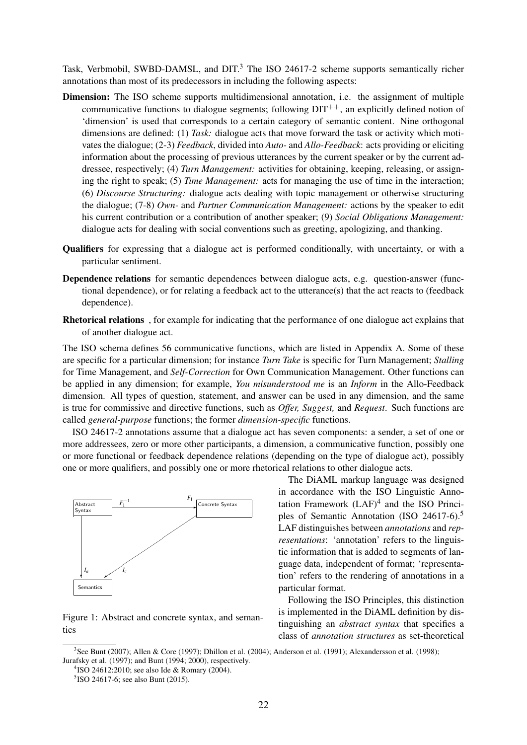Task, Verbmobil, SWBD-DAMSL, and DIT.<sup>3</sup> The ISO 24617-2 scheme supports semantically richer annotations than most of its predecessors in including the following aspects:

- Dimension: The ISO scheme supports multidimensional annotation, i.e. the assignment of multiple communicative functions to dialogue segments; following  $DT^{++}$ , an explicitly defined notion of 'dimension' is used that corresponds to a certain category of semantic content. Nine orthogonal dimensions are defined: (1) *Task:* dialogue acts that move forward the task or activity which motivates the dialogue; (2-3) *Feedback*, divided into *Auto-* and *Allo-Feedback*: acts providing or eliciting information about the processing of previous utterances by the current speaker or by the current addressee, respectively; (4) *Turn Management:* activities for obtaining, keeping, releasing, or assigning the right to speak; (5) *Time Management:* acts for managing the use of time in the interaction; (6) *Discourse Structuring:* dialogue acts dealing with topic management or otherwise structuring the dialogue; (7-8) *Own-* and *Partner Communication Management:* actions by the speaker to edit his current contribution or a contribution of another speaker; (9) *Social Obligations Management:* dialogue acts for dealing with social conventions such as greeting, apologizing, and thanking.
- Qualifiers for expressing that a dialogue act is performed conditionally, with uncertainty, or with a particular sentiment.
- Dependence relations for semantic dependences between dialogue acts, e.g. question-answer (functional dependence), or for relating a feedback act to the utterance(s) that the act reacts to (feedback dependence).
- Rhetorical relations , for example for indicating that the performance of one dialogue act explains that of another dialogue act.

The ISO schema defines 56 communicative functions, which are listed in Appendix A. Some of these are specific for a particular dimension; for instance *Turn Take* is specific for Turn Management; *Stalling* for Time Management, and *Self-Correction* for Own Communication Management. Other functions can be applied in any dimension; for example, *You misunderstood me* is an *Inform* in the Allo-Feedback dimension. All types of question, statement, and answer can be used in any dimension, and the same is true for commissive and directive functions, such as *Offer, Suggest,* and *Request*. Such functions are called *general-purpose* functions; the former *dimension-specific* functions.

ISO 24617-2 annotations assume that a dialogue act has seven components: a sender, a set of one or more addressees, zero or more other participants, a dimension, a communicative function, possibly one or more functional or feedback dependence relations (depending on the type of dialogue act), possibly one or more qualifiers, and possibly one or more rhetorical relations to other dialogue acts.



Figure 1: Abstract and concrete syntax, and semantics

The DiAML markup language was designed in accordance with the ISO Linguistic Annotation Framework  $(LAF)^4$  and the ISO Principles of Semantic Annotation (ISO 24617-6).<sup>5</sup> LAF distinguishes between *annotations* and *representations*: 'annotation' refers to the linguistic information that is added to segments of language data, independent of format; 'representation' refers to the rendering of annotations in a particular format.

Following the ISO Principles, this distinction is implemented in the DiAML definition by distinguishing an *abstract syntax* that specifies a class of *annotation structures* as set-theoretical

<sup>3</sup> See Bunt (2007); Allen & Core (1997); Dhillon et al. (2004); Anderson et al. (1991); Alexandersson et al. (1998); Jurafsky et al. (1997); and Bunt (1994; 2000), respectively.

<sup>4</sup> ISO 24612:2010; see also Ide & Romary (2004).

<sup>&</sup>lt;sup>5</sup>ISO 24617-6; see also Bunt (2015).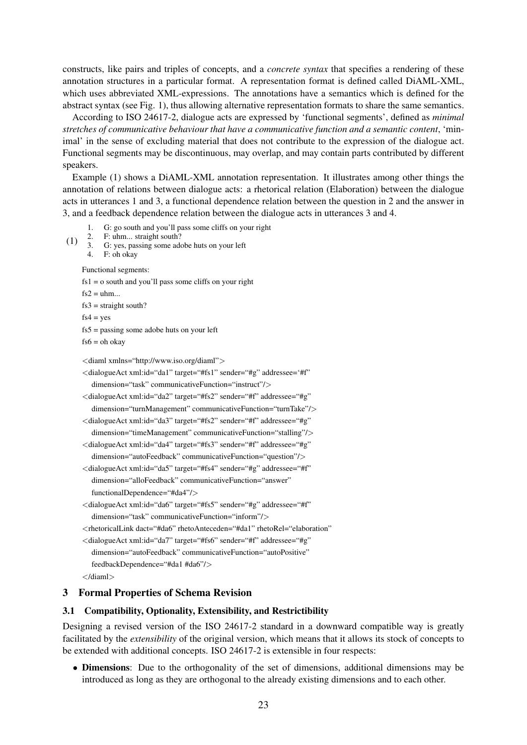constructs, like pairs and triples of concepts, and a *concrete syntax* that specifies a rendering of these annotation structures in a particular format. A representation format is defined called DiAML-XML, which uses abbreviated XML-expressions. The annotations have a semantics which is defined for the abstract syntax (see Fig. 1), thus allowing alternative representation formats to share the same semantics.

According to ISO 24617-2, dialogue acts are expressed by 'functional segments', defined as *minimal stretches of communicative behaviour that have a communicative function and a semantic content*, 'minimal' in the sense of excluding material that does not contribute to the expression of the dialogue act. Functional segments may be discontinuous, may overlap, and may contain parts contributed by different speakers.

Example (1) shows a DiAML-XML annotation representation. It illustrates among other things the annotation of relations between dialogue acts: a rhetorical relation (Elaboration) between the dialogue acts in utterances 1 and 3, a functional dependence relation between the question in 2 and the answer in 3, and a feedback dependence relation between the dialogue acts in utterances 3 and 4.

- 1. G: go south and you'll pass some cliffs on your right
- (1) 2. F: uhm... straight south?<br>3. G: yes, passing some add
	- G: yes, passing some adobe huts on your left
	- 4. F: oh okay

Functional segments:

 $fs1 = o$  south and you'll pass some cliffs on your right

 $fs2 = uhm...$ 

 $fs3 = straight south?$ 

 $fs4 = yes$ 

fs5 = passing some adobe huts on your left

 $fs6 = oh$  okay

<diaml xmlns="http://www.iso.org/diaml">

- <dialogueAct xml:id="da1" target="#fs1" sender="#g" addressee='#f" dimension="task" communicativeFunction="instruct"/>
- <dialogueAct xml:id="da2" target="#fs2" sender="#f" addressee="#g" dimension="turnManagement" communicativeFunction="turnTake"/>

<dialogueAct xml:id="da3" target="#fs2" sender="#f" addressee="#g" dimension="timeManagement" communicativeFunction="stalling"/>

- <dialogueAct xml:id="da4" target="#fs3" sender="#f" addressee="#g" dimension="autoFeedback" communicativeFunction="question"/>
- <dialogueAct xml:id="da5" target="#fs4" sender="#g" addressee="#f" dimension="alloFeedback" communicativeFunction="answer" functionalDependence="#da4"/>
- <dialogueAct xml:id="da6" target="#fs5" sender="#g" addressee="#f" dimension="task" communicativeFunction="inform"/>

<rhetoricalLink dact="#da6" rhetoAnteceden="#da1" rhetoRel="elaboration"

- <dialogueAct xml:id="da7" target="#fs6" sender="#f" addressee="#g" dimension="autoFeedback" communicativeFunction="autoPositive" feedbackDependence="#da1 #da6"/>
- </diaml>

## 3 Formal Properties of Schema Revision

#### 3.1 Compatibility, Optionality, Extensibility, and Restrictibility

Designing a revised version of the ISO 24617-2 standard in a downward compatible way is greatly facilitated by the *extensibility* of the original version, which means that it allows its stock of concepts to be extended with additional concepts. ISO 24617-2 is extensible in four respects:

• Dimensions: Due to the orthogonality of the set of dimensions, additional dimensions may be introduced as long as they are orthogonal to the already existing dimensions and to each other.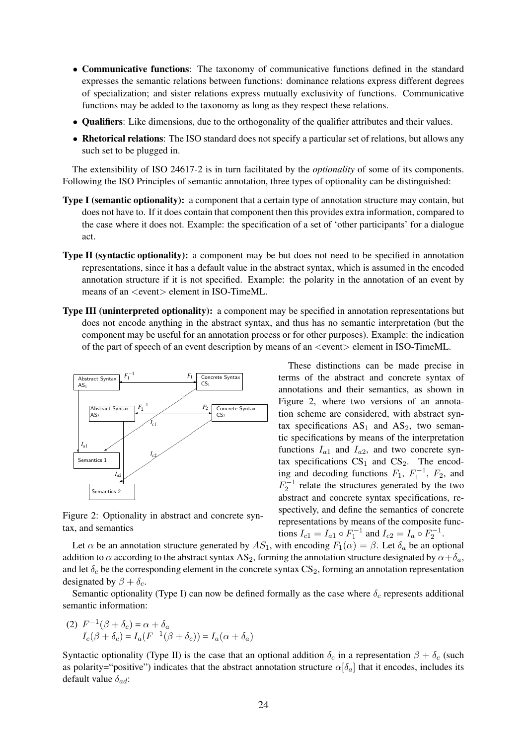- Communicative functions: The taxonomy of communicative functions defined in the standard expresses the semantic relations between functions: dominance relations express different degrees of specialization; and sister relations express mutually exclusivity of functions. Communicative functions may be added to the taxonomy as long as they respect these relations.
- Qualifiers: Like dimensions, due to the orthogonality of the qualifier attributes and their values.
- Rhetorical relations: The ISO standard does not specify a particular set of relations, but allows any such set to be plugged in.

The extensibility of ISO 24617-2 is in turn facilitated by the *optionality* of some of its components. Following the ISO Principles of semantic annotation, three types of optionality can be distinguished:

- Type I (semantic optionality): a component that a certain type of annotation structure may contain, but does not have to. If it does contain that component then this provides extra information, compared to the case where it does not. Example: the specification of a set of 'other participants' for a dialogue act.
- Type II (syntactic optionality): a component may be but does not need to be specified in annotation representations, since it has a default value in the abstract syntax, which is assumed in the encoded annotation structure if it is not specified. Example: the polarity in the annotation of an event by means of an <event> element in ISO-TimeML.
- Type III (uninterpreted optionality): a component may be specified in annotation representations but does not encode anything in the abstract syntax, and thus has no semantic interpretation (but the component may be useful for an annotation process or for other purposes). Example: the indication of the part of speech of an event description by means of an  $\le$ event $>$  element in ISO-TimeML.



Figure 2: Optionality in abstract and concrete syntax, and semantics

These distinctions can be made precise in terms of the abstract and concrete syntax of annotations and their semantics, as shown in Figure 2, where two versions of an annotation scheme are considered, with abstract syntax specifications  $AS_1$  and  $AS_2$ , two semantic specifications by means of the interpretation functions  $I_{a1}$  and  $I_{a2}$ , and two concrete syntax specifications  $CS_1$  and  $CS_2$ . The encoding and decoding functions  $F_1$ ,  $F_1^{-1}$ ,  $F_2$ , and  $F_2^{-1}$  relate the structures generated by the two abstract and concrete syntax specifications, respectively, and define the semantics of concrete representations by means of the composite functions  $I_{c1} = I_{a1} \circ F_1^{-1}$  and  $I_{c2} = I_a \circ F_2^{-1}$ .

Let  $\alpha$  be an annotation structure generated by  $AS_1$ , with encoding  $F_1(\alpha) = \beta$ . Let  $\delta_a$  be an optional addition to  $\alpha$  according to the abstract syntax AS<sub>2</sub>, forming the annotation structure designated by  $\alpha + \delta_a$ , and let  $\delta_c$  be the corresponding element in the concrete syntax  $CS_2$ , forming an annotation representation designated by  $\beta + \delta_c$ .

Semantic optionality (Type I) can now be defined formally as the case where  $\delta_c$  represents additional semantic information:

(2)  $F^{-1}(\beta + \delta_c) = \alpha + \delta_a$  $I_c(\beta + \delta_c) = I_a(F^{-1}(\beta + \delta_c)) = I_a(\alpha + \delta_a)$ 

Syntactic optionality (Type II) is the case that an optional addition  $\delta_c$  in a representation  $\beta + \delta_c$  (such as polarity="positive") indicates that the abstract annotation structure  $\alpha[\delta_a]$  that it encodes, includes its default value  $\delta_{ad}$ :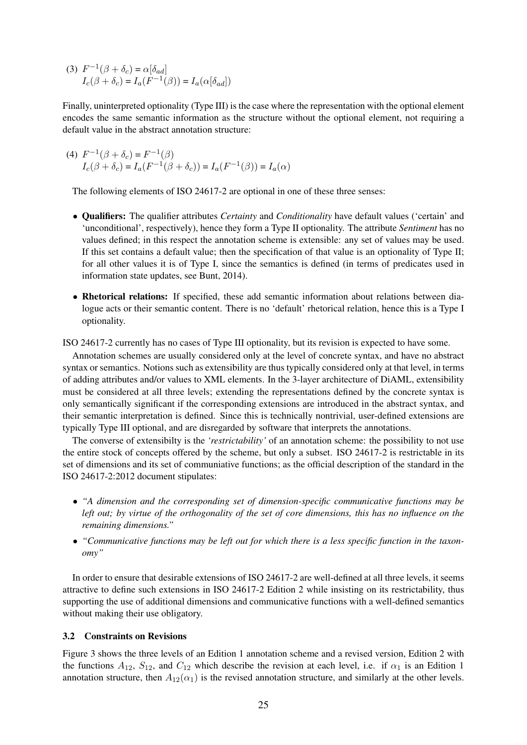(3)  $F^{-1}(\beta + \delta_c) = \alpha[\delta_{ad}]$  $I_c(\beta + \delta_c) = I_a(F^{-1}(\beta)) = I_a(\alpha[\delta_{ad}])$ 

Finally, uninterpreted optionality (Type III) is the case where the representation with the optional element encodes the same semantic information as the structure without the optional element, not requiring a default value in the abstract annotation structure:

(4)  $F^{-1}(\beta + \delta_c) = F^{-1}(\beta)$  $I_c(\beta + \delta_c) = I_a(F^{-1}(\beta + \delta_c)) = I_a(F^{-1}(\beta)) = I_a(\alpha)$ 

The following elements of ISO 24617-2 are optional in one of these three senses:

- Qualifiers: The qualifier attributes *Certainty* and *Conditionality* have default values ('certain' and 'unconditional', respectively), hence they form a Type II optionality. The attribute *Sentiment* has no values defined; in this respect the annotation scheme is extensible: any set of values may be used. If this set contains a default value; then the specification of that value is an optionality of Type II; for all other values it is of Type I, since the semantics is defined (in terms of predicates used in information state updates, see Bunt, 2014).
- Rhetorical relations: If specified, these add semantic information about relations between dialogue acts or their semantic content. There is no 'default' rhetorical relation, hence this is a Type I optionality.

ISO 24617-2 currently has no cases of Type III optionality, but its revision is expected to have some.

Annotation schemes are usually considered only at the level of concrete syntax, and have no abstract syntax or semantics. Notions such as extensibility are thus typically considered only at that level, in terms of adding attributes and/or values to XML elements. In the 3-layer architecture of DiAML, extensibility must be considered at all three levels; extending the representations defined by the concrete syntax is only semantically significant if the corresponding extensions are introduced in the abstract syntax, and their semantic interpretation is defined. Since this is technically nontrivial, user-defined extensions are typically Type III optional, and are disregarded by software that interprets the annotations.

The converse of extensibilty is the *'restrictability'* of an annotation scheme: the possibility to not use the entire stock of concepts offered by the scheme, but only a subset. ISO 24617-2 is restrictable in its set of dimensions and its set of communiative functions; as the official description of the standard in the ISO 24617-2:2012 document stipulates:

- *"A dimension and the corresponding set of dimension-specific communicative functions may be left out; by virtue of the orthogonality of the set of core dimensions, this has no influence on the remaining dimensions."*
- *"Communicative functions may be left out for which there is a less specific function in the taxonomy"*

In order to ensure that desirable extensions of ISO 24617-2 are well-defined at all three levels, it seems attractive to define such extensions in ISO 24617-2 Edition 2 while insisting on its restrictability, thus supporting the use of additional dimensions and communicative functions with a well-defined semantics without making their use obligatory.

## 3.2 Constraints on Revisions

Figure 3 shows the three levels of an Edition 1 annotation scheme and a revised version, Edition 2 with the functions  $A_{12}$ ,  $S_{12}$ , and  $C_{12}$  which describe the revision at each level, i.e. if  $\alpha_1$  is an Edition 1 annotation structure, then  $A_{12}(\alpha_1)$  is the revised annotation structure, and similarly at the other levels.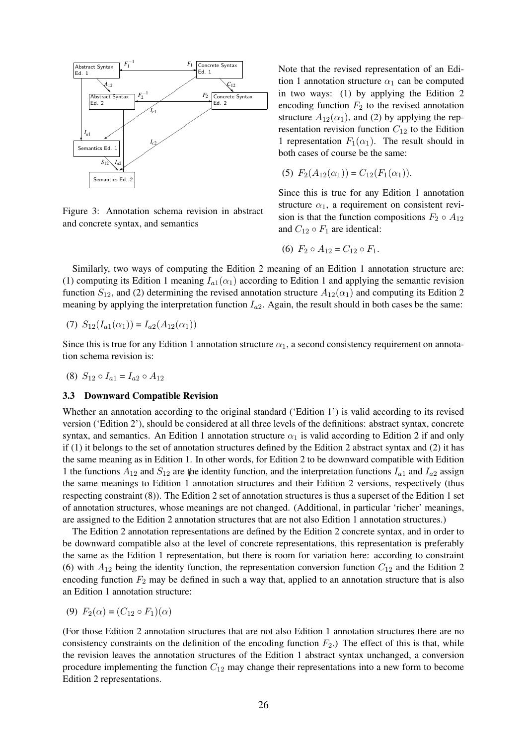

Figure 3: Annotation schema revision in abstract and concrete syntax, and semantics

Note that the revised representation of an Edition 1 annotation structure  $\alpha_1$  can be computed in two ways: (1) by applying the Edition 2 encoding function  $F_2$  to the revised annotation structure  $A_{12}(\alpha_1)$ , and (2) by applying the representation revision function  $C_{12}$  to the Edition 1 representation  $F_1(\alpha_1)$ . The result should in both cases of course be the same:

$$
(5) F_2(A_{12}(\alpha_1)) = C_{12}(F_1(\alpha_1)).
$$

Since this is true for any Edition 1 annotation structure  $\alpha_1$ , a requirement on consistent revision is that the function compositions  $F_2 \circ A_{12}$ and  $C_{12} \circ F_1$  are identical:

$$
(6) F_2 \circ A_{12} = C_{12} \circ F_1.
$$

Similarly, two ways of computing the Edition 2 meaning of an Edition 1 annotation structure are: (1) computing its Edition 1 meaning  $I_{a1}(\alpha_1)$  according to Edition 1 and applying the semantic revision function  $S_{12}$ , and (2) determining the revised annotation structure  $A_{12}(\alpha_1)$  and computing its Edition 2 meaning by applying the interpretation function  $I_{a2}$ . Again, the result should in both cases be the same:

(7) 
$$
S_{12}(I_{a1}(\alpha_1)) = I_{a2}(A_{12}(\alpha_1))
$$

Since this is true for any Edition 1 annotation structure  $\alpha_1$ , a second consistency requirement on annotation schema revision is:

$$
(8) S_{12} \circ I_{a1} = I_{a2} \circ A_{12}
$$

#### 3.3 Downward Compatible Revision

1 the functions  $A_{12}$  and  $S_{12}$  are the identity function, and the interpretation functions  $I_{a1}$  and  $I_{a2}$  assign Whether an annotation according to the original standard ('Edition 1') is valid according to its revised version ('Edition 2'), should be considered at all three levels of the definitions: abstract syntax, concrete syntax, and semantics. An Edition 1 annotation structure  $\alpha_1$  is valid according to Edition 2 if and only if (1) it belongs to the set of annotation structures defined by the Edition 2 abstract syntax and (2) it has the same meaning as in Edition 1. In other words, for Edition 2 to be downward compatible with Edition the same meanings to Edition 1 annotation structures and their Edition 2 versions, respectively (thus respecting constraint (8)). The Edition 2 set of annotation structures is thus a superset of the Edition 1 set of annotation structures, whose meanings are not changed. (Additional, in particular 'richer' meanings, are assigned to the Edition 2 annotation structures that are not also Edition 1 annotation structures.)

The Edition 2 annotation representations are defined by the Edition 2 concrete syntax, and in order to be downward compatible also at the level of concrete representations, this representation is preferably the same as the Edition 1 representation, but there is room for variation here: according to constraint (6) with  $A_{12}$  being the identity function, the representation conversion function  $C_{12}$  and the Edition 2 encoding function  $F_2$  may be defined in such a way that, applied to an annotation structure that is also an Edition 1 annotation structure:

$$
(9) F_2(\alpha) = (C_{12} \circ F_1)(\alpha)
$$

(For those Edition 2 annotation structures that are not also Edition 1 annotation structures there are no consistency constraints on the definition of the encoding function  $F_2$ .) The effect of this is that, while the revision leaves the annotation structures of the Edition 1 abstract syntax unchanged, a conversion procedure implementing the function  $C_{12}$  may change their representations into a new form to become Edition 2 representations.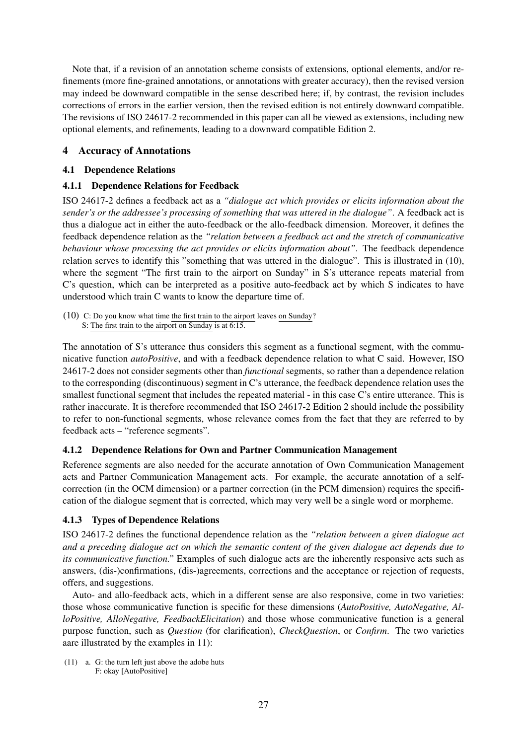Note that, if a revision of an annotation scheme consists of extensions, optional elements, and/or refinements (more fine-grained annotations, or annotations with greater accuracy), then the revised version may indeed be downward compatible in the sense described here; if, by contrast, the revision includes corrections of errors in the earlier version, then the revised edition is not entirely downward compatible. The revisions of ISO 24617-2 recommended in this paper can all be viewed as extensions, including new optional elements, and refinements, leading to a downward compatible Edition 2.

# 4 Accuracy of Annotations

## 4.1 Dependence Relations

# 4.1.1 Dependence Relations for Feedback

ISO 24617-2 defines a feedback act as a *"dialogue act which provides or elicits information about the sender's or the addressee's processing of something that was uttered in the dialogue"*. A feedback act is thus a dialogue act in either the auto-feedback or the allo-feedback dimension. Moreover, it defines the feedback dependence relation as the *"relation between a feedback act and the stretch of communicative behaviour whose processing the act provides or elicits information about"*. The feedback dependence relation serves to identify this "something that was uttered in the dialogue". This is illustrated in (10), where the segment "The first train to the airport on Sunday" in S's utterance repeats material from C's question, which can be interpreted as a positive auto-feedback act by which S indicates to have understood which train C wants to know the departure time of.

(10) C: Do you know what time the first train to the airport leaves on Sunday? S: The first train to the airport on Sunday is at 6:15.

The annotation of S's utterance thus considers this segment as a functional segment, with the communicative function *autoPositive*, and with a feedback dependence relation to what C said. However, ISO 24617-2 does not consider segments other than *functional* segments, so rather than a dependence relation to the corresponding (discontinuous) segment in C's utterance, the feedback dependence relation uses the smallest functional segment that includes the repeated material - in this case C's entire utterance. This is rather inaccurate. It is therefore recommended that ISO 24617-2 Edition 2 should include the possibility to refer to non-functional segments, whose relevance comes from the fact that they are referred to by feedback acts – "reference segments".

# 4.1.2 Dependence Relations for Own and Partner Communication Management

Reference segments are also needed for the accurate annotation of Own Communication Management acts and Partner Communication Management acts. For example, the accurate annotation of a selfcorrection (in the OCM dimension) or a partner correction (in the PCM dimension) requires the specification of the dialogue segment that is corrected, which may very well be a single word or morpheme.

# 4.1.3 Types of Dependence Relations

ISO 24617-2 defines the functional dependence relation as the *"relation between a given dialogue act and a preceding dialogue act on which the semantic content of the given dialogue act depends due to its communicative function."* Examples of such dialogue acts are the inherently responsive acts such as answers, (dis-)confirmations, (dis-)agreements, corrections and the acceptance or rejection of requests, offers, and suggestions.

Auto- and allo-feedback acts, which in a different sense are also responsive, come in two varieties: those whose communicative function is specific for these dimensions (*AutoPositive, AutoNegative, AlloPositive, AlloNegative, FeedbackElicitation*) and those whose communicative function is a general purpose function, such as *Question* (for clarification), *CheckQuestion*, or *Confirm*. The two varieties aare illustrated by the examples in 11):

(11) a. G: the turn left just above the adobe huts F: okay [AutoPositive]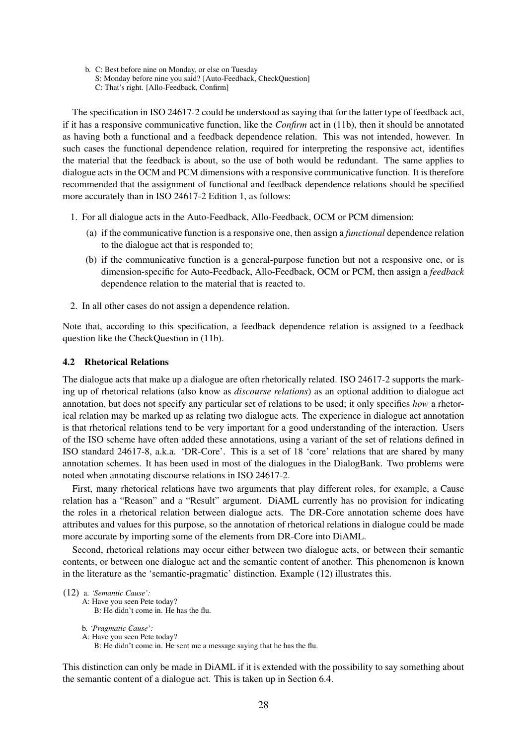- b. C: Best before nine on Monday, or else on Tuesday
	- S: Monday before nine you said? [Auto-Feedback, CheckQuestion]
	- C: That's right. [Allo-Feedback, Confirm]

The specification in ISO 24617-2 could be understood as saying that for the latter type of feedback act, if it has a responsive communicative function, like the *Confirm* act in (11b), then it should be annotated as having both a functional and a feedback dependence relation. This was not intended, however. In such cases the functional dependence relation, required for interpreting the responsive act, identifies the material that the feedback is about, so the use of both would be redundant. The same applies to dialogue acts in the OCM and PCM dimensions with a responsive communicative function. It is therefore recommended that the assignment of functional and feedback dependence relations should be specified more accurately than in ISO 24617-2 Edition 1, as follows:

- 1. For all dialogue acts in the Auto-Feedback, Allo-Feedback, OCM or PCM dimension:
	- (a) if the communicative function is a responsive one, then assign a *functional* dependence relation to the dialogue act that is responded to;
	- (b) if the communicative function is a general-purpose function but not a responsive one, or is dimension-specific for Auto-Feedback, Allo-Feedback, OCM or PCM, then assign a *feedback* dependence relation to the material that is reacted to.
- 2. In all other cases do not assign a dependence relation.

Note that, according to this specification, a feedback dependence relation is assigned to a feedback question like the CheckQuestion in (11b).

#### 4.2 Rhetorical Relations

The dialogue acts that make up a dialogue are often rhetorically related. ISO 24617-2 supports the marking up of rhetorical relations (also know as *discourse relations*) as an optional addition to dialogue act annotation, but does not specify any particular set of relations to be used; it only specifies *how* a rhetorical relation may be marked up as relating two dialogue acts. The experience in dialogue act annotation is that rhetorical relations tend to be very important for a good understanding of the interaction. Users of the ISO scheme have often added these annotations, using a variant of the set of relations defined in ISO standard 24617-8, a.k.a. 'DR-Core'. This is a set of 18 'core' relations that are shared by many annotation schemes. It has been used in most of the dialogues in the DialogBank. Two problems were noted when annotating discourse relations in ISO 24617-2.

First, many rhetorical relations have two arguments that play different roles, for example, a Cause relation has a "Reason" and a "Result" argument. DiAML currently has no provision for indicating the roles in a rhetorical relation between dialogue acts. The DR-Core annotation scheme does have attributes and values for this purpose, so the annotation of rhetorical relations in dialogue could be made more accurate by importing some of the elements from DR-Core into DiAML.

Second, rhetorical relations may occur either between two dialogue acts, or between their semantic contents, or between one dialogue act and the semantic content of another. This phenomenon is known in the literature as the 'semantic-pragmatic' distinction. Example (12) illustrates this.

```
(12) a. 'Semantic Cause':
A: Have you seen Pete today?
    B: He didn't come in. He has the flu.
b. 'Pragmatic Cause':
A: Have you seen Pete today?
```
B: He didn't come in. He sent me a message saying that he has the flu.

This distinction can only be made in DiAML if it is extended with the possibility to say something about the semantic content of a dialogue act. This is taken up in Section 6.4.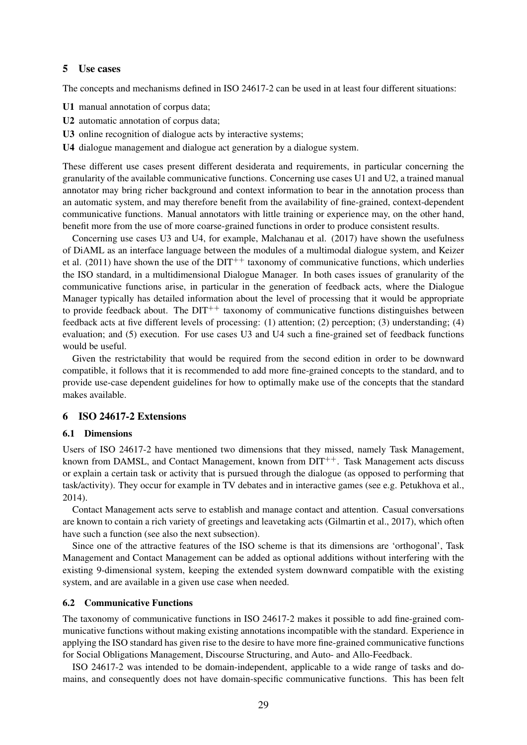#### 5 Use cases

The concepts and mechanisms defined in ISO 24617-2 can be used in at least four different situations:

- U1 manual annotation of corpus data;
- U2 automatic annotation of corpus data;
- U3 online recognition of dialogue acts by interactive systems;
- U4 dialogue management and dialogue act generation by a dialogue system.

These different use cases present different desiderata and requirements, in particular concerning the granularity of the available communicative functions. Concerning use cases U1 and U2, a trained manual annotator may bring richer background and context information to bear in the annotation process than an automatic system, and may therefore benefit from the availability of fine-grained, context-dependent communicative functions. Manual annotators with little training or experience may, on the other hand, benefit more from the use of more coarse-grained functions in order to produce consistent results.

Concerning use cases U3 and U4, for example, Malchanau et al. (2017) have shown the usefulness of DiAML as an interface language between the modules of a multimodal dialogue system, and Keizer et al. (2011) have shown the use of the  $DT^{++}$  taxonomy of communicative functions, which underlies the ISO standard, in a multidimensional Dialogue Manager. In both cases issues of granularity of the communicative functions arise, in particular in the generation of feedback acts, where the Dialogue Manager typically has detailed information about the level of processing that it would be appropriate to provide feedback about. The  $DT^{++}$  taxonomy of communicative functions distinguishes between feedback acts at five different levels of processing: (1) attention; (2) perception; (3) understanding; (4) evaluation; and (5) execution. For use cases U3 and U4 such a fine-grained set of feedback functions would be useful.

Given the restrictability that would be required from the second edition in order to be downward compatible, it follows that it is recommended to add more fine-grained concepts to the standard, and to provide use-case dependent guidelines for how to optimally make use of the concepts that the standard makes available.

## 6 ISO 24617-2 Extensions

#### 6.1 Dimensions

Users of ISO 24617-2 have mentioned two dimensions that they missed, namely Task Management, known from DAMSL, and Contact Management, known from  $DT^{++}$ . Task Management acts discuss or explain a certain task or activity that is pursued through the dialogue (as opposed to performing that task/activity). They occur for example in TV debates and in interactive games (see e.g. Petukhova et al., 2014).

Contact Management acts serve to establish and manage contact and attention. Casual conversations are known to contain a rich variety of greetings and leavetaking acts (Gilmartin et al., 2017), which often have such a function (see also the next subsection).

Since one of the attractive features of the ISO scheme is that its dimensions are 'orthogonal', Task Management and Contact Management can be added as optional additions without interfering with the existing 9-dimensional system, keeping the extended system downward compatible with the existing system, and are available in a given use case when needed.

#### 6.2 Communicative Functions

The taxonomy of communicative functions in ISO 24617-2 makes it possible to add fine-grained communicative functions without making existing annotations incompatible with the standard. Experience in applying the ISO standard has given rise to the desire to have more fine-grained communicative functions for Social Obligations Management, Discourse Structuring, and Auto- and Allo-Feedback.

ISO 24617-2 was intended to be domain-independent, applicable to a wide range of tasks and domains, and consequently does not have domain-specific communicative functions. This has been felt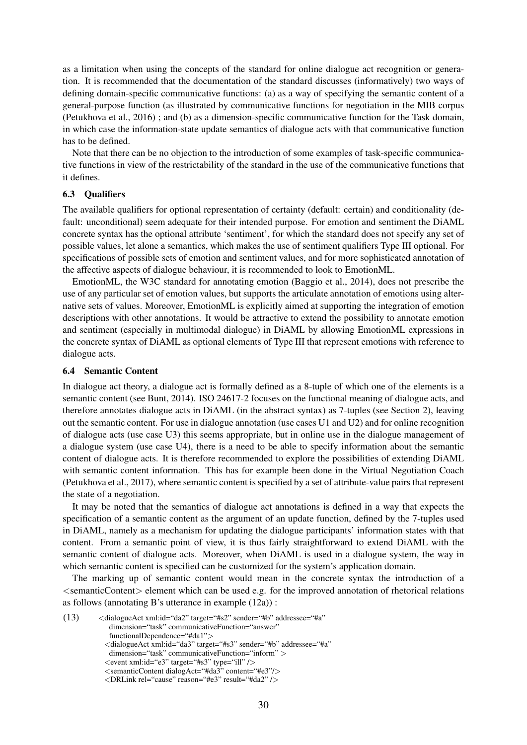as a limitation when using the concepts of the standard for online dialogue act recognition or generation. It is recommended that the documentation of the standard discusses (informatively) two ways of defining domain-specific communicative functions: (a) as a way of specifying the semantic content of a general-purpose function (as illustrated by communicative functions for negotiation in the MIB corpus (Petukhova et al., 2016) ; and (b) as a dimension-specific communicative function for the Task domain, in which case the information-state update semantics of dialogue acts with that communicative function has to be defined.

Note that there can be no objection to the introduction of some examples of task-specific communicative functions in view of the restrictability of the standard in the use of the communicative functions that it defines.

## 6.3 Qualifiers

The available qualifiers for optional representation of certainty (default: certain) and conditionality (default: unconditional) seem adequate for their intended purpose. For emotion and sentiment the DiAML concrete syntax has the optional attribute 'sentiment', for which the standard does not specify any set of possible values, let alone a semantics, which makes the use of sentiment qualifiers Type III optional. For specifications of possible sets of emotion and sentiment values, and for more sophisticated annotation of the affective aspects of dialogue behaviour, it is recommended to look to EmotionML.

EmotionML, the W3C standard for annotating emotion (Baggio et al., 2014), does not prescribe the use of any particular set of emotion values, but supports the articulate annotation of emotions using alternative sets of values. Moreover, EmotionML is explicitly aimed at supporting the integration of emotion descriptions with other annotations. It would be attractive to extend the possibility to annotate emotion and sentiment (especially in multimodal dialogue) in DiAML by allowing EmotionML expressions in the concrete syntax of DiAML as optional elements of Type III that represent emotions with reference to dialogue acts.

#### 6.4 Semantic Content

In dialogue act theory, a dialogue act is formally defined as a 8-tuple of which one of the elements is a semantic content (see Bunt, 2014). ISO 24617-2 focuses on the functional meaning of dialogue acts, and therefore annotates dialogue acts in DiAML (in the abstract syntax) as 7-tuples (see Section 2), leaving out the semantic content. For use in dialogue annotation (use cases U1 and U2) and for online recognition of dialogue acts (use case U3) this seems appropriate, but in online use in the dialogue management of a dialogue system (use case U4), there is a need to be able to specify information about the semantic content of dialogue acts. It is therefore recommended to explore the possibilities of extending DiAML with semantic content information. This has for example been done in the Virtual Negotiation Coach (Petukhova et al., 2017), where semantic content is specified by a set of attribute-value pairs that represent the state of a negotiation.

It may be noted that the semantics of dialogue act annotations is defined in a way that expects the specification of a semantic content as the argument of an update function, defined by the 7-tuples used in DiAML, namely as a mechanism for updating the dialogue participants' information states with that content. From a semantic point of view, it is thus fairly straightforward to extend DiAML with the semantic content of dialogue acts. Moreover, when DiAML is used in a dialogue system, the way in which semantic content is specified can be customized for the system's application domain.

The marking up of semantic content would mean in the concrete syntax the introduction of a <semanticContent> element which can be used e.g. for the improved annotation of rhetorical relations as follows (annotating B's utterance in example (12a)) :

(13)  $\langle$ dialogueAct xml:id="da2" target="#s2" sender="#b" addressee="#a" dimension="task" communicativeFunction="answer" functionalDependence="#da1"> <dialogueAct xml:id="da3" target="#s3" sender="#b" addressee="#a" dimension="task" communicativeFunction="inform" >

<sup>&</sup>lt;event xml:id="e3" target="#s3" type="ill" />

<sup>&</sup>lt;semanticContent dialogAct="#da3" content="#e3"/>

<sup>&</sup>lt;DRLink rel="cause" reason="#e3" result="#da2" />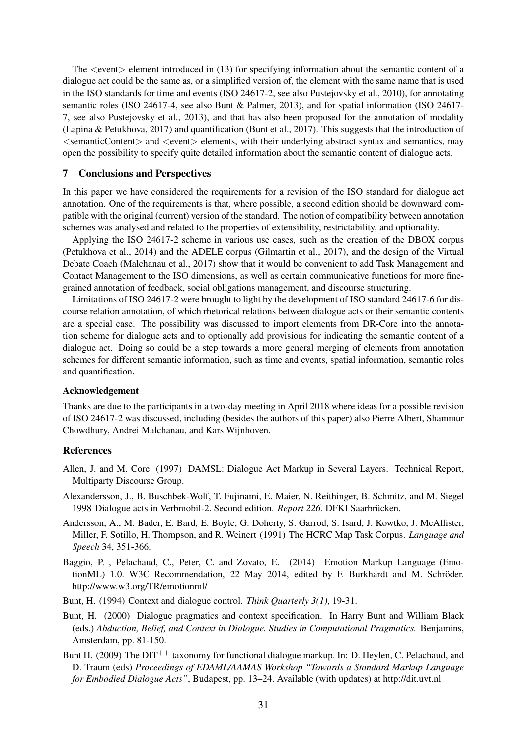The  $\le$ event $\ge$  element introduced in (13) for specifying information about the semantic content of a dialogue act could be the same as, or a simplified version of, the element with the same name that is used in the ISO standards for time and events (ISO 24617-2, see also Pustejovsky et al., 2010), for annotating semantic roles (ISO 24617-4, see also Bunt & Palmer, 2013), and for spatial information (ISO 24617- 7, see also Pustejovsky et al., 2013), and that has also been proposed for the annotation of modality (Lapina & Petukhova, 2017) and quantification (Bunt et al., 2017). This suggests that the introduction of <semanticContent> and <event> elements, with their underlying abstract syntax and semantics, may open the possibility to specify quite detailed information about the semantic content of dialogue acts.

#### 7 Conclusions and Perspectives

In this paper we have considered the requirements for a revision of the ISO standard for dialogue act annotation. One of the requirements is that, where possible, a second edition should be downward compatible with the original (current) version of the standard. The notion of compatibility between annotation schemes was analysed and related to the properties of extensibility, restrictability, and optionality.

Applying the ISO 24617-2 scheme in various use cases, such as the creation of the DBOX corpus (Petukhova et al., 2014) and the ADELE corpus (Gilmartin et al., 2017), and the design of the Virtual Debate Coach (Malchanau et al., 2017) show that it would be convenient to add Task Management and Contact Management to the ISO dimensions, as well as certain communicative functions for more finegrained annotation of feedback, social obligations management, and discourse structuring.

Limitations of ISO 24617-2 were brought to light by the development of ISO standard 24617-6 for discourse relation annotation, of which rhetorical relations between dialogue acts or their semantic contents are a special case. The possibility was discussed to import elements from DR-Core into the annotation scheme for dialogue acts and to optionally add provisions for indicating the semantic content of a dialogue act. Doing so could be a step towards a more general merging of elements from annotation schemes for different semantic information, such as time and events, spatial information, semantic roles and quantification.

#### Acknowledgement

Thanks are due to the participants in a two-day meeting in April 2018 where ideas for a possible revision of ISO 24617-2 was discussed, including (besides the authors of this paper) also Pierre Albert, Shammur Chowdhury, Andrei Malchanau, and Kars Wijnhoven.

#### References

- Allen, J. and M. Core (1997) DAMSL: Dialogue Act Markup in Several Layers. Technical Report, Multiparty Discourse Group.
- Alexandersson, J., B. Buschbek-Wolf, T. Fujinami, E. Maier, N. Reithinger, B. Schmitz, and M. Siegel 1998 Dialogue acts in Verbmobil-2. Second edition. *Report 226*. DFKI Saarbrucken. ¨
- Andersson, A., M. Bader, E. Bard, E. Boyle, G. Doherty, S. Garrod, S. Isard, J. Kowtko, J. McAllister, Miller, F. Sotillo, H. Thompson, and R. Weinert (1991) The HCRC Map Task Corpus. *Language and Speech* 34, 351-366.
- Baggio, P. , Pelachaud, C., Peter, C. and Zovato, E. (2014) Emotion Markup Language (EmotionML) 1.0. W3C Recommendation, 22 May 2014, edited by F. Burkhardt and M. Schröder. http://www.w3.org/TR/emotionml/
- Bunt, H. (1994) Context and dialogue control. *Think Quarterly 3(1)*, 19-31.
- Bunt, H. (2000) Dialogue pragmatics and context specification. In Harry Bunt and William Black (eds.) *Abduction, Belief, and Context in Dialogue. Studies in Computational Pragmatics.* Benjamins, Amsterdam, pp. 81-150.
- Bunt H. (2009) The DIT<sup>++</sup> taxonomy for functional dialogue markup. In: D. Heylen, C. Pelachaud, and D. Traum (eds) *Proceedings of EDAML/AAMAS Workshop "Towards a Standard Markup Language for Embodied Dialogue Acts"*, Budapest, pp. 13–24. Available (with updates) at http://dit.uvt.nl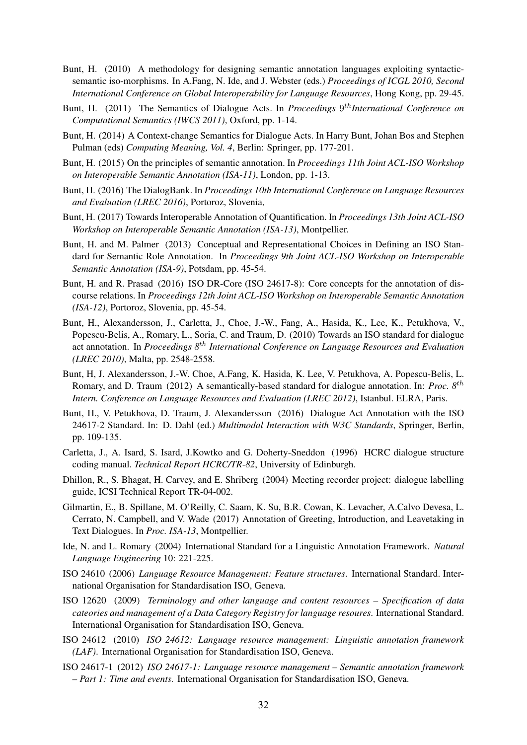- Bunt, H. (2010) A methodology for designing semantic annotation languages exploiting syntacticsemantic iso-morphisms. In A.Fang, N. Ide, and J. Webster (eds.) *Proceedings of ICGL 2010, Second International Conference on Global Interoperability for Language Resources*, Hong Kong, pp. 29-45.
- Bunt, H. (2011) The Semantics of Dialogue Acts. In *Proceedings* 9<sup>th</sup>International Conference on *Computational Semantics (IWCS 2011)*, Oxford, pp. 1-14.
- Bunt, H. (2014) A Context-change Semantics for Dialogue Acts. In Harry Bunt, Johan Bos and Stephen Pulman (eds) *Computing Meaning, Vol. 4*, Berlin: Springer, pp. 177-201.
- Bunt, H. (2015) On the principles of semantic annotation. In *Proceedings 11th Joint ACL-ISO Workshop on Interoperable Semantic Annotation (ISA-11)*, London, pp. 1-13.
- Bunt, H. (2016) The DialogBank. In *Proceedings 10th International Conference on Language Resources and Evaluation (LREC 2016)*, Portoroz, Slovenia,
- Bunt, H. (2017) Towards Interoperable Annotation of Quantification. In *Proceedings 13th Joint ACL-ISO Workshop on Interoperable Semantic Annotation (ISA-13)*, Montpellier.
- Bunt, H. and M. Palmer (2013) Conceptual and Representational Choices in Defining an ISO Standard for Semantic Role Annotation. In *Proceedings 9th Joint ACL-ISO Workshop on Interoperable Semantic Annotation (ISA-9)*, Potsdam, pp. 45-54.
- Bunt, H. and R. Prasad (2016) ISO DR-Core (ISO 24617-8): Core concepts for the annotation of discourse relations. In *Proceedings 12th Joint ACL-ISO Workshop on Interoperable Semantic Annotation (ISA-12)*, Portoroz, Slovenia, pp. 45-54.
- Bunt, H., Alexandersson, J., Carletta, J., Choe, J.-W., Fang, A., Hasida, K., Lee, K., Petukhova, V., Popescu-Belis, A., Romary, L., Soria, C. and Traum, D. (2010) Towards an ISO standard for dialogue act annotation. In *Proceedings 8*th *International Conference on Language Resources and Evaluation (LREC 2010)*, Malta, pp. 2548-2558.
- Bunt, H, J. Alexandersson, J.-W. Choe, A.Fang, K. Hasida, K. Lee, V. Petukhova, A. Popescu-Belis, L. Romary, and D. Traum (2012) A semantically-based standard for dialogue annotation. In: *Proc. 8*th *Intern. Conference on Language Resources and Evaluation (LREC 2012)*, Istanbul. ELRA, Paris.
- Bunt, H., V. Petukhova, D. Traum, J. Alexandersson (2016) Dialogue Act Annotation with the ISO 24617-2 Standard. In: D. Dahl (ed.) *Multimodal Interaction with W3C Standards*, Springer, Berlin, pp. 109-135.
- Carletta, J., A. Isard, S. Isard, J.Kowtko and G. Doherty-Sneddon (1996) HCRC dialogue structure coding manual. *Technical Report HCRC/TR-82*, University of Edinburgh.
- Dhillon, R., S. Bhagat, H. Carvey, and E. Shriberg (2004) Meeting recorder project: dialogue labelling guide, ICSI Technical Report TR-04-002.
- Gilmartin, E., B. Spillane, M. O'Reilly, C. Saam, K. Su, B.R. Cowan, K. Levacher, A.Calvo Devesa, L. Cerrato, N. Campbell, and V. Wade (2017) Annotation of Greeting, Introduction, and Leavetaking in Text Dialogues. In *Proc. ISA-13*, Montpellier.
- Ide, N. and L. Romary (2004) International Standard for a Linguistic Annotation Framework. *Natural Language Engineering* 10: 221-225.
- ISO 24610 (2006) *Language Resource Management: Feature structures*. International Standard. International Organisation for Standardisation ISO, Geneva.
- ISO 12620 (2009) *Terminology and other language and content resources Specification of data cateories and management of a Data Category Registry for language resoures*. International Standard. International Organisation for Standardisation ISO, Geneva.
- ISO 24612 (2010) *ISO 24612: Language resource management: Linguistic annotation framework (LAF)*. International Organisation for Standardisation ISO, Geneva.
- ISO 24617-1 (2012) *ISO 24617-1: Language resource management Semantic annotation framework – Part 1: Time and events.* International Organisation for Standardisation ISO, Geneva.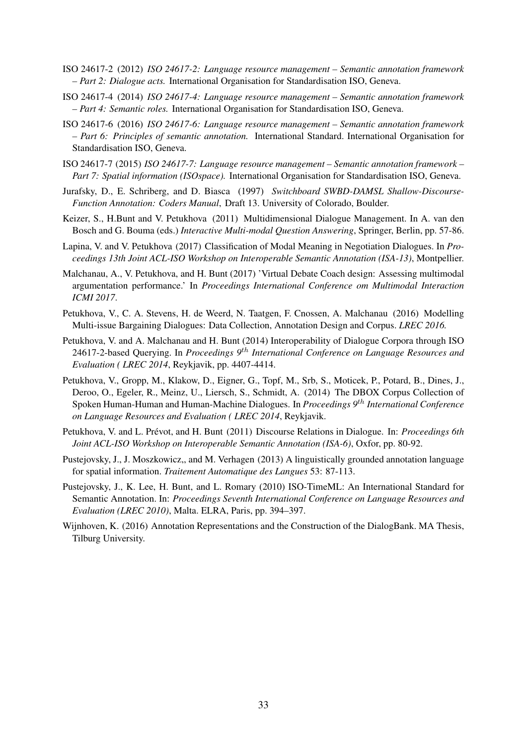- ISO 24617-2 (2012) *ISO 24617-2: Language resource management Semantic annotation framework – Part 2: Dialogue acts.* International Organisation for Standardisation ISO, Geneva.
- ISO 24617-4 (2014) *ISO 24617-4: Language resource management Semantic annotation framework – Part 4: Semantic roles.* International Organisation for Standardisation ISO, Geneva.
- ISO 24617-6 (2016) *ISO 24617-6: Language resource management Semantic annotation framework – Part 6: Principles of semantic annotation.* International Standard. International Organisation for Standardisation ISO, Geneva.
- ISO 24617-7 (2015) *ISO 24617-7: Language resource management Semantic annotation framework – Part 7: Spatial information (ISOspace).* International Organisation for Standardisation ISO, Geneva.
- Jurafsky, D., E. Schriberg, and D. Biasca (1997) *Switchboard SWBD-DAMSL Shallow-Discourse-Function Annotation: Coders Manual*, Draft 13. University of Colorado, Boulder.
- Keizer, S., H.Bunt and V. Petukhova (2011) Multidimensional Dialogue Management. In A. van den Bosch and G. Bouma (eds.) *Interactive Multi-modal Question Answering*, Springer, Berlin, pp. 57-86.
- Lapina, V. and V. Petukhova (2017) Classification of Modal Meaning in Negotiation Dialogues. In *Proceedings 13th Joint ACL-ISO Workshop on Interoperable Semantic Annotation (ISA-13)*, Montpellier.
- Malchanau, A., V. Petukhova, and H. Bunt (2017) 'Virtual Debate Coach design: Assessing multimodal argumentation performance.' In *Proceedings International Conference om Multimodal Interaction ICMI 2017*.
- Petukhova, V., C. A. Stevens, H. de Weerd, N. Taatgen, F. Cnossen, A. Malchanau (2016) Modelling Multi-issue Bargaining Dialogues: Data Collection, Annotation Design and Corpus. *LREC 2016.*
- Petukhova, V. and A. Malchanau and H. Bunt (2014) Interoperability of Dialogue Corpora through ISO 24617-2-based Querying. In *Proceedings 9*th *International Conference on Language Resources and Evaluation ( LREC 2014*, Reykjavik, pp. 4407-4414.
- Petukhova, V., Gropp, M., Klakow, D., Eigner, G., Topf, M., Srb, S., Moticek, P., Potard, B., Dines, J., Deroo, O., Egeler, R., Meinz, U., Liersch, S., Schmidt, A. (2014) The DBOX Corpus Collection of Spoken Human-Human and Human-Machine Dialogues. In *Proceedings 9*th *International Conference on Language Resources and Evaluation ( LREC 2014*, Reykjavik.
- Petukhova, V. and L. Prévot, and H. Bunt (2011) Discourse Relations in Dialogue. In: *Proceedings 6th Joint ACL-ISO Workshop on Interoperable Semantic Annotation (ISA-6)*, Oxfor, pp. 80-92.
- Pustejovsky, J., J. Moszkowicz,, and M. Verhagen (2013) A linguistically grounded annotation language for spatial information. *Traitement Automatique des Langues* 53: 87-113.
- Pustejovsky, J., K. Lee, H. Bunt, and L. Romary (2010) ISO-TimeML: An International Standard for Semantic Annotation. In: *Proceedings Seventh International Conference on Language Resources and Evaluation (LREC 2010)*, Malta. ELRA, Paris, pp. 394–397.
- Wijnhoven, K. (2016) Annotation Representations and the Construction of the DialogBank. MA Thesis, Tilburg University.